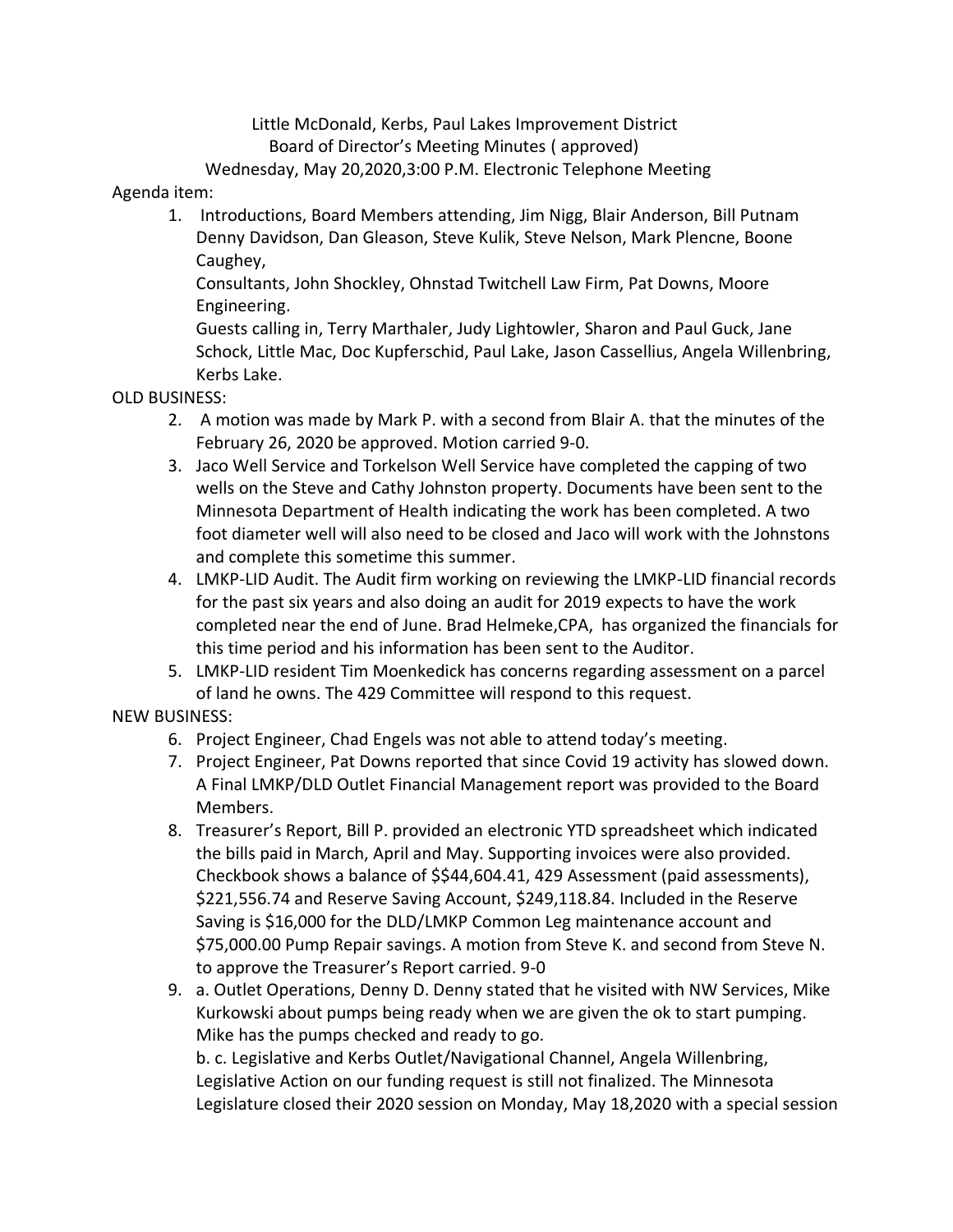Little McDonald, Kerbs, Paul Lakes Improvement District Board of Director's Meeting Minutes ( approved) Wednesday, May 20,2020,3:00 P.M. Electronic Telephone Meeting

## Agenda item:

1. Introductions, Board Members attending, Jim Nigg, Blair Anderson, Bill Putnam Denny Davidson, Dan Gleason, Steve Kulik, Steve Nelson, Mark Plencne, Boone Caughey,

Consultants, John Shockley, Ohnstad Twitchell Law Firm, Pat Downs, Moore Engineering.

Guests calling in, Terry Marthaler, Judy Lightowler, Sharon and Paul Guck, Jane Schock, Little Mac, Doc Kupferschid, Paul Lake, Jason Cassellius, Angela Willenbring, Kerbs Lake.

## OLD BUSINESS:

- 2. A motion was made by Mark P. with a second from Blair A. that the minutes of the February 26, 2020 be approved. Motion carried 9-0.
- 3. Jaco Well Service and Torkelson Well Service have completed the capping of two wells on the Steve and Cathy Johnston property. Documents have been sent to the Minnesota Department of Health indicating the work has been completed. A two foot diameter well will also need to be closed and Jaco will work with the Johnstons and complete this sometime this summer.
- 4. LMKP-LID Audit. The Audit firm working on reviewing the LMKP-LID financial records for the past six years and also doing an audit for 2019 expects to have the work completed near the end of June. Brad Helmeke,CPA, has organized the financials for this time period and his information has been sent to the Auditor.
- 5. LMKP-LID resident Tim Moenkedick has concerns regarding assessment on a parcel of land he owns. The 429 Committee will respond to this request.

## NEW BUSINESS:

- 6. Project Engineer, Chad Engels was not able to attend today's meeting.
- 7. Project Engineer, Pat Downs reported that since Covid 19 activity has slowed down. A Final LMKP/DLD Outlet Financial Management report was provided to the Board Members.
- 8. Treasurer's Report, Bill P. provided an electronic YTD spreadsheet which indicated the bills paid in March, April and May. Supporting invoices were also provided. Checkbook shows a balance of \$\$44,604.41, 429 Assessment (paid assessments), \$221,556.74 and Reserve Saving Account, \$249,118.84. Included in the Reserve Saving is \$16,000 for the DLD/LMKP Common Leg maintenance account and \$75,000.00 Pump Repair savings. A motion from Steve K. and second from Steve N. to approve the Treasurer's Report carried. 9-0
- 9. a. Outlet Operations, Denny D. Denny stated that he visited with NW Services, Mike Kurkowski about pumps being ready when we are given the ok to start pumping. Mike has the pumps checked and ready to go.

b. c. Legislative and Kerbs Outlet/Navigational Channel, Angela Willenbring, Legislative Action on our funding request is still not finalized. The Minnesota Legislature closed their 2020 session on Monday, May 18,2020 with a special session